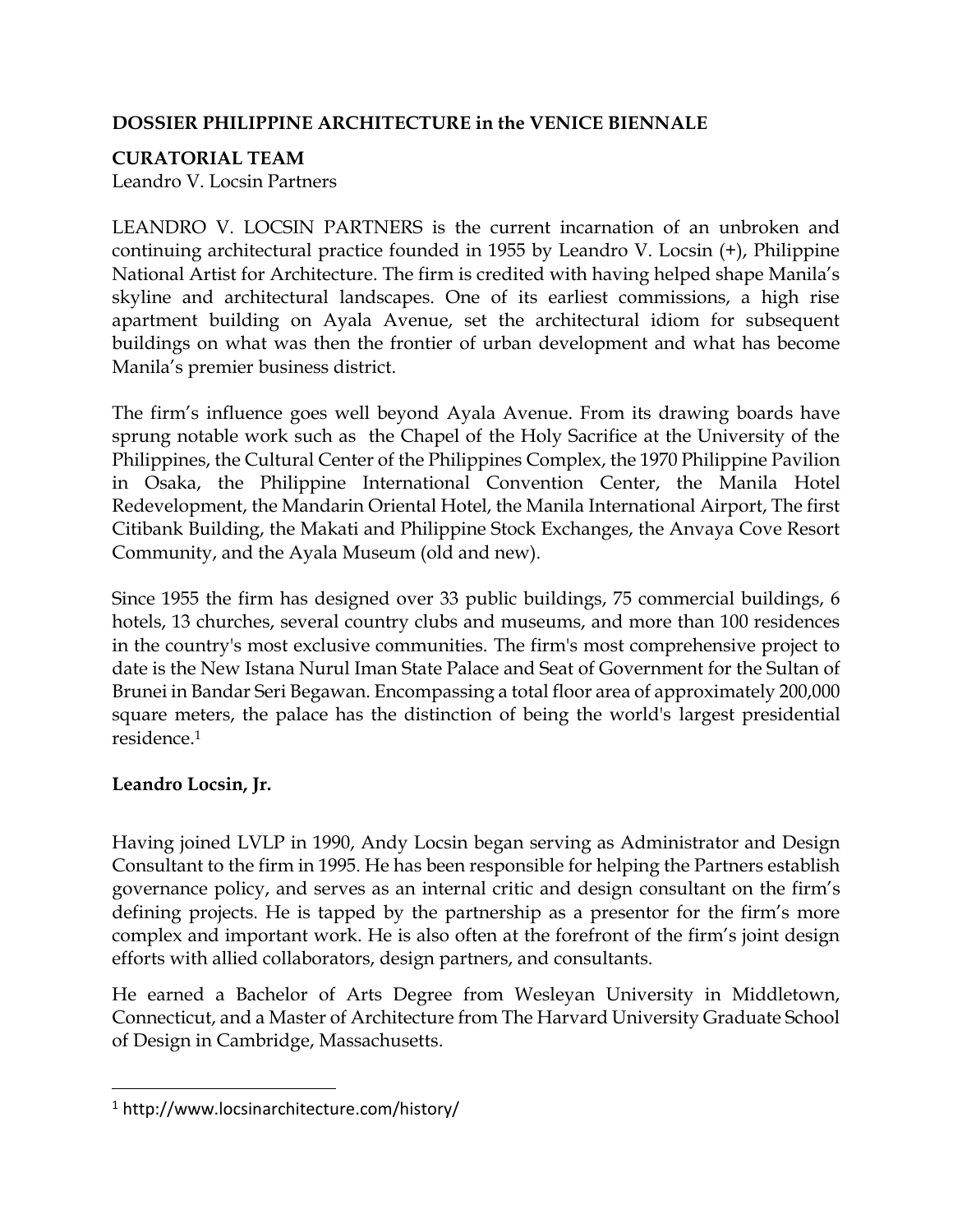## **DOSSIER PHILIPPINE ARCHITECTURE in the VENICE BIENNALE**

## **CURATORIAL TEAM**

Leandro V. Locsin Partners

LEANDRO V. LOCSIN PARTNERS is the current incarnation of an unbroken and continuing architectural practice founded in 1955 by Leandro V. Locsin (+), Philippine National Artist for Architecture. The firm is credited with having helped shape Manila's skyline and architectural landscapes. One of its earliest commissions, a high rise apartment building on Ayala Avenue, set the architectural idiom for subsequent buildings on what was then the frontier of urban development and what has become Manila's premier business district.

The firm's influence goes well beyond Ayala Avenue. From its drawing boards have sprung notable work such as the Chapel of the Holy Sacrifice at the University of the Philippines, the Cultural Center of the Philippines Complex, the 1970 Philippine Pavilion in Osaka, the Philippine International Convention Center, the Manila Hotel Redevelopment, the Mandarin Oriental Hotel, the Manila International Airport, The first Citibank Building, the Makati and Philippine Stock Exchanges, the Anvaya Cove Resort Community, and the Ayala Museum (old and new).

Since 1955 the firm has designed over 33 public buildings, 75 commercial buildings, 6 hotels, 13 churches, several country clubs and museums, and more than 100 residences in the country's most exclusive communities. The firm's most comprehensive project to date is the New Istana Nurul Iman State Palace and Seat of Government for the Sultan of Brunei in Bandar Seri Begawan. Encompassing a total floor area of approximately 200,000 square meters, the palace has the distinction of being the world's largest presidential residence. 1

# **Leandro Locsin, Jr.**

 $\overline{a}$ 

Having joined LVLP in 1990, Andy Locsin began serving as Administrator and Design Consultant to the firm in 1995. He has been responsible for helping the Partners establish governance policy, and serves as an internal critic and design consultant on the firm's defining projects. He is tapped by the partnership as a presentor for the firm's more complex and important work. He is also often at the forefront of the firm's joint design efforts with allied collaborators, design partners, and consultants.

He earned a Bachelor of Arts Degree from Wesleyan University in Middletown, Connecticut, and a Master of Architecture from The Harvard University Graduate School of Design in Cambridge, Massachusetts.

<sup>1</sup> http://www.locsinarchitecture.com/history/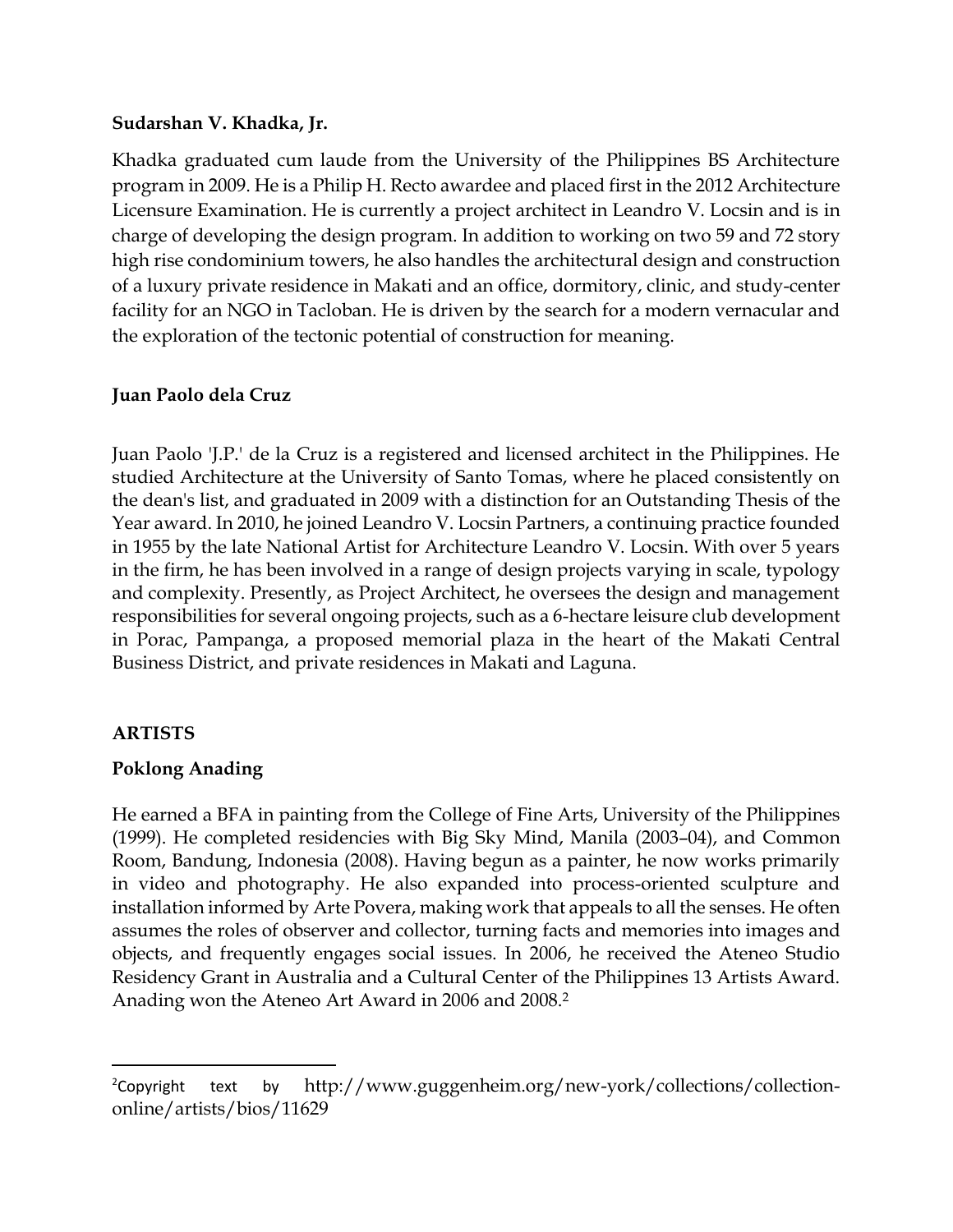#### **Sudarshan V. Khadka, Jr.**

Khadka graduated cum laude from the University of the Philippines BS Architecture program in 2009. He is a Philip H. Recto awardee and placed first in the 2012 Architecture Licensure Examination. He is currently a project architect in Leandro V. Locsin and is in charge of developing the design program. In addition to working on two 59 and 72 story high rise condominium towers, he also handles the architectural design and construction of a luxury private residence in Makati and an office, dormitory, clinic, and study-center facility for an NGO in Tacloban. He is driven by the search for a modern vernacular and the exploration of the tectonic potential of construction for meaning.

## **Juan Paolo dela Cruz**

Juan Paolo 'J.P.' de la Cruz is a registered and licensed architect in the Philippines. He studied Architecture at the University of Santo Tomas, where he placed consistently on the dean's list, and graduated in 2009 with a distinction for an Outstanding Thesis of the Year award. In 2010, he joined Leandro V. Locsin Partners, a continuing practice founded in 1955 by the late National Artist for Architecture Leandro V. Locsin. With over 5 years in the firm, he has been involved in a range of design projects varying in scale, typology and complexity. Presently, as Project Architect, he oversees the design and management responsibilities for several ongoing projects, such as a 6-hectare leisure club development in Porac, Pampanga, a proposed memorial plaza in the heart of the Makati Central Business District, and private residences in Makati and Laguna.

## **ARTISTS**

 $\overline{\phantom{a}}$ 

## **Poklong Anading**

He earned a BFA in painting from the College of Fine Arts, University of the Philippines (1999). He completed residencies with Big Sky Mind, Manila (2003–04), and Common Room, Bandung, Indonesia (2008). Having begun as a painter, he now works primarily in video and photography. He also expanded into process-oriented sculpture and installation informed by [Arte Povera,](http://www.guggenheim.org/new-york/collections/collection-online/show-list/movement/?search=Arte%20Povera) making work that appeals to all the senses. He often assumes the roles of observer and collector, turning facts and memories into images and objects, and frequently engages social issues. In 2006, he received the Ateneo Studio Residency Grant in Australia and a Cultural Center of the Philippines 13 Artists Award. Anading won the Ateneo Art Award in 2006 and 2008.<sup>2</sup>

<sup>&</sup>lt;sup>2</sup>Copyright text by [http://www.guggenheim.org/new-york/collections/collection](http://www.guggenheim.org/new-york/collections/collection-online/artists/bios/11629)[online/artists/bios/11629](http://www.guggenheim.org/new-york/collections/collection-online/artists/bios/11629)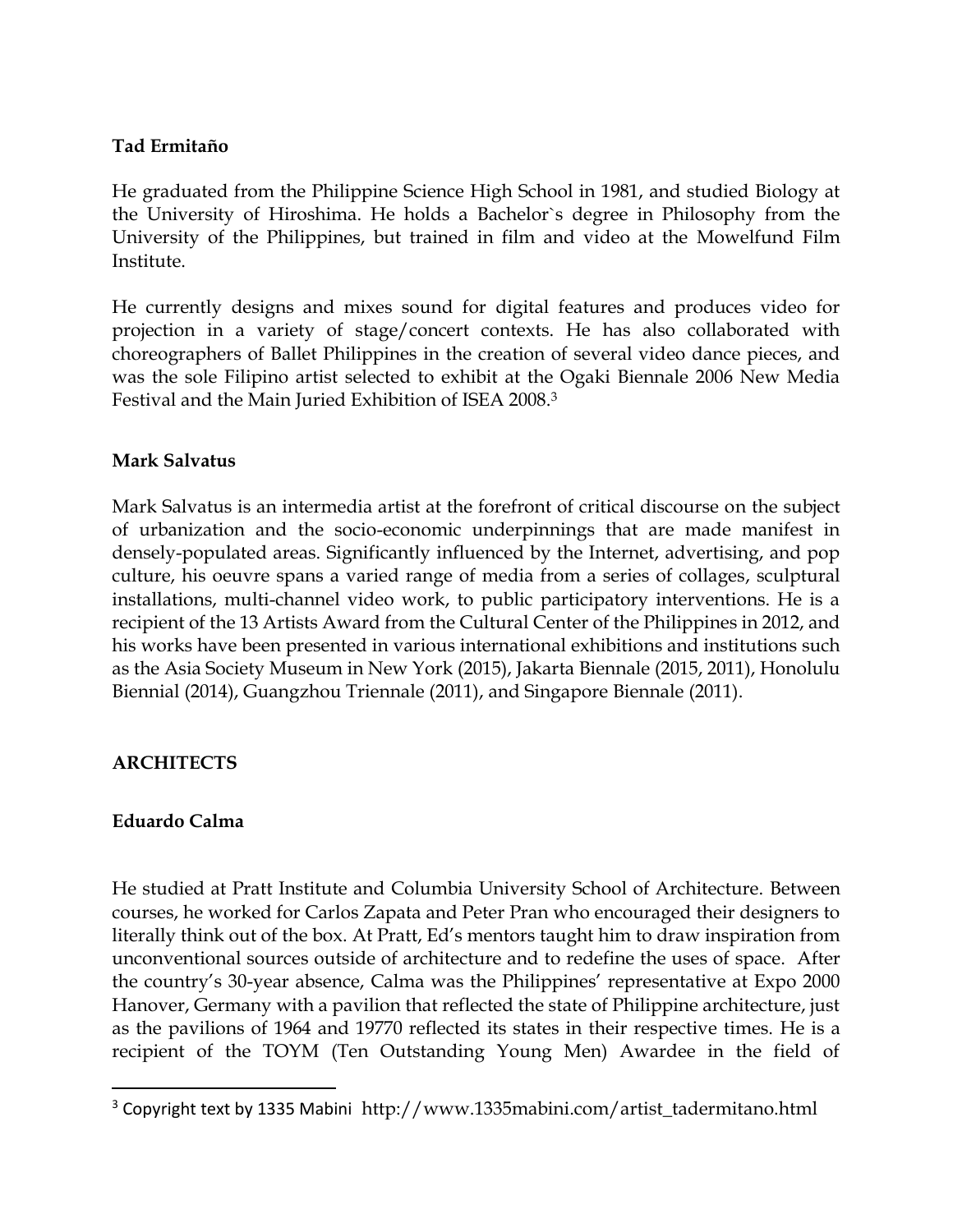## **Tad Ermitaño**

He graduated from the Philippine Science High School in 1981, and studied Biology at the University of Hiroshima. He holds a Bachelor`s degree in Philosophy from the University of the Philippines, but trained in film and video at the Mowelfund Film Institute.

He currently designs and mixes sound for digital features and produces video for projection in a variety of stage/concert contexts. He has also collaborated with choreographers of Ballet Philippines in the creation of several video dance pieces, and was the sole Filipino artist selected to exhibit at the Ogaki Biennale 2006 New Media Festival and the Main Juried Exhibition of ISEA 2008.<sup>3</sup>

### **Mark Salvatus**

Mark Salvatus is an intermedia artist at the forefront of critical discourse on the subject of urbanization and the socio-economic underpinnings that are made manifest in densely-populated areas. Significantly influenced by the Internet, advertising, and pop culture, his oeuvre spans a varied range of media from a series of collages, sculptural installations, multi-channel video work, to public participatory interventions. He is a recipient of the 13 Artists Award from the Cultural Center of the Philippines in 2012, and his works have been presented in various international exhibitions and institutions such as the Asia Society Museum in New York (2015), Jakarta Biennale (2015, 2011), Honolulu Biennial (2014), Guangzhou Triennale (2011), and Singapore Biennale (2011).

## **ARCHITECTS**

#### **Eduardo Calma**

 $\overline{\phantom{a}}$ 

He studied at Pratt Institute and Columbia University School of Architecture. Between courses, he worked for Carlos Zapata and Peter Pran who encouraged their designers to literally think out of the box. At Pratt, Ed's mentors taught him to draw inspiration from unconventional sources outside of architecture and to redefine the uses of space. After the country's 30-year absence, Calma was the Philippines' representative at Expo 2000 Hanover, Germany with a pavilion that reflected the state of Philippine architecture, just as the pavilions of 1964 and 19770 reflected its states in their respective times. He is a recipient of the TOYM (Ten Outstanding Young Men) Awardee in the field of

<sup>3</sup> Copyright text by 1335 Mabini http://www.1335mabini.com/artist\_tadermitano.html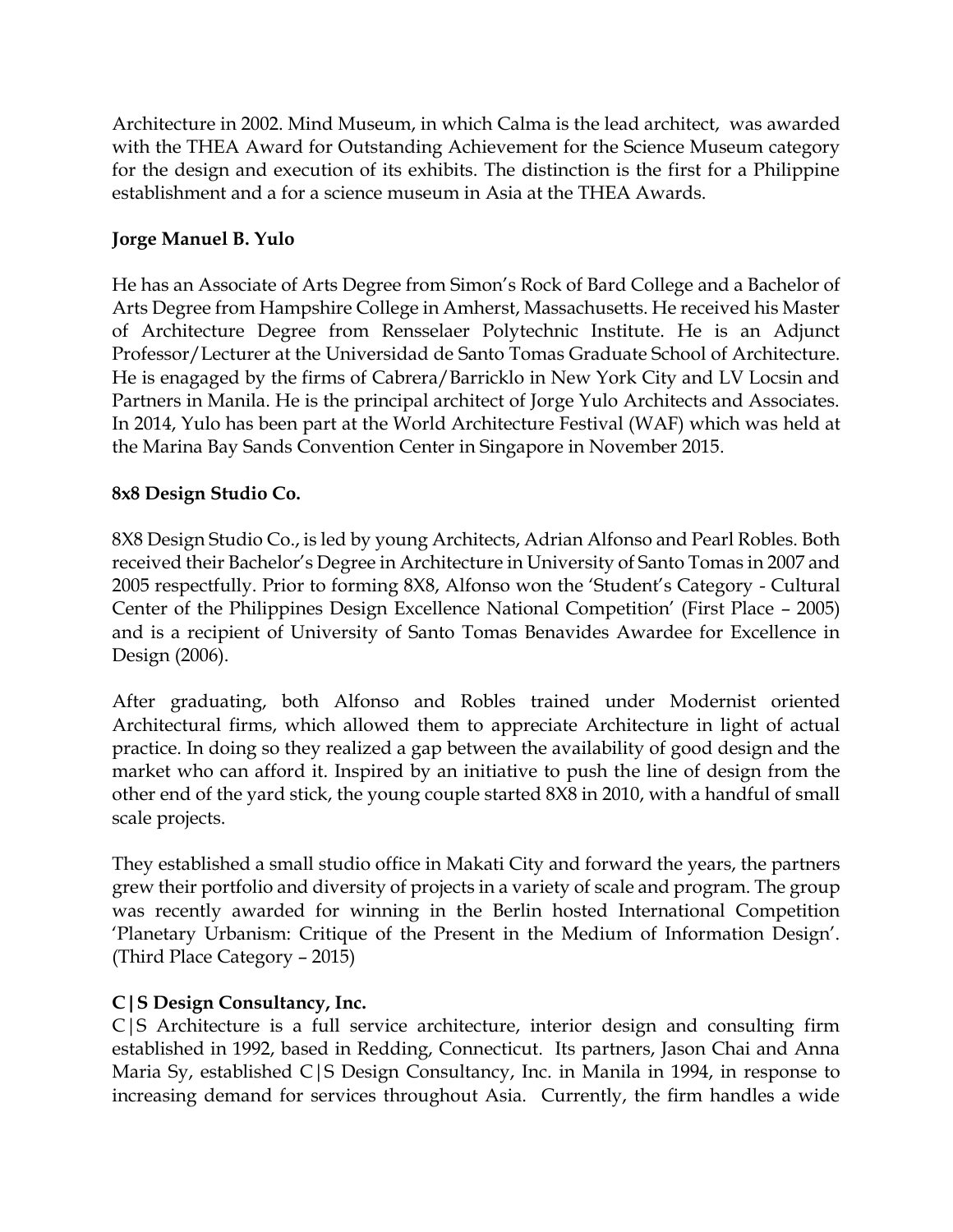Architecture in 2002. Mind Museum, in which Calma is the lead architect, was awarded with the THEA Award for Outstanding Achievement for the Science Museum category for the design and execution of its exhibits. The distinction is the first for a Philippine establishment and a for a science museum in Asia at the THEA Awards.

## **Jorge Manuel B. Yulo**

He has an Associate of Arts Degree from Simon's Rock of Bard College and a Bachelor of Arts Degree from Hampshire College in Amherst, Massachusetts. He received his Master of Architecture Degree from Rensselaer Polytechnic Institute. He is an Adjunct Professor/Lecturer at the Universidad de Santo Tomas Graduate School of Architecture. He is enagaged by the firms of Cabrera/Barricklo in New York City and LV Locsin and Partners in Manila. He is the principal architect of Jorge Yulo Architects and Associates. In 2014, Yulo has been part at the World Architecture Festival (WAF) which was held at the Marina Bay Sands Convention Center in Singapore in November 2015.

## **8x8 Design Studio Co.**

8X8 Design Studio Co., is led by young Architects, Adrian Alfonso and Pearl Robles. Both received their Bachelor's Degree in Architecture in University of Santo Tomas in 2007 and 2005 respectfully. Prior to forming 8X8, Alfonso won the 'Student's Category - Cultural Center of the Philippines Design Excellence National Competition' (First Place – 2005) and is a recipient of University of Santo Tomas Benavides Awardee for Excellence in Design (2006).

After graduating, both Alfonso and Robles trained under Modernist oriented Architectural firms, which allowed them to appreciate Architecture in light of actual practice. In doing so they realized a gap between the availability of good design and the market who can afford it. Inspired by an initiative to push the line of design from the other end of the yard stick, the young couple started 8X8 in 2010, with a handful of small scale projects.

They established a small studio office in Makati City and forward the years, the partners grew their portfolio and diversity of projects in a variety of scale and program. The group was recently awarded for winning in the Berlin hosted International Competition 'Planetary Urbanism: Critique of the Present in the Medium of Information Design'. (Third Place Category – 2015)

## **C|S Design Consultancy, Inc.**

C|S Architecture is a full service architecture, interior design and consulting firm established in 1992, based in Redding, Connecticut. Its partners, Jason Chai and Anna Maria Sy, established C|S Design Consultancy, Inc. in Manila in 1994, in response to increasing demand for services throughout Asia. Currently, the firm handles a wide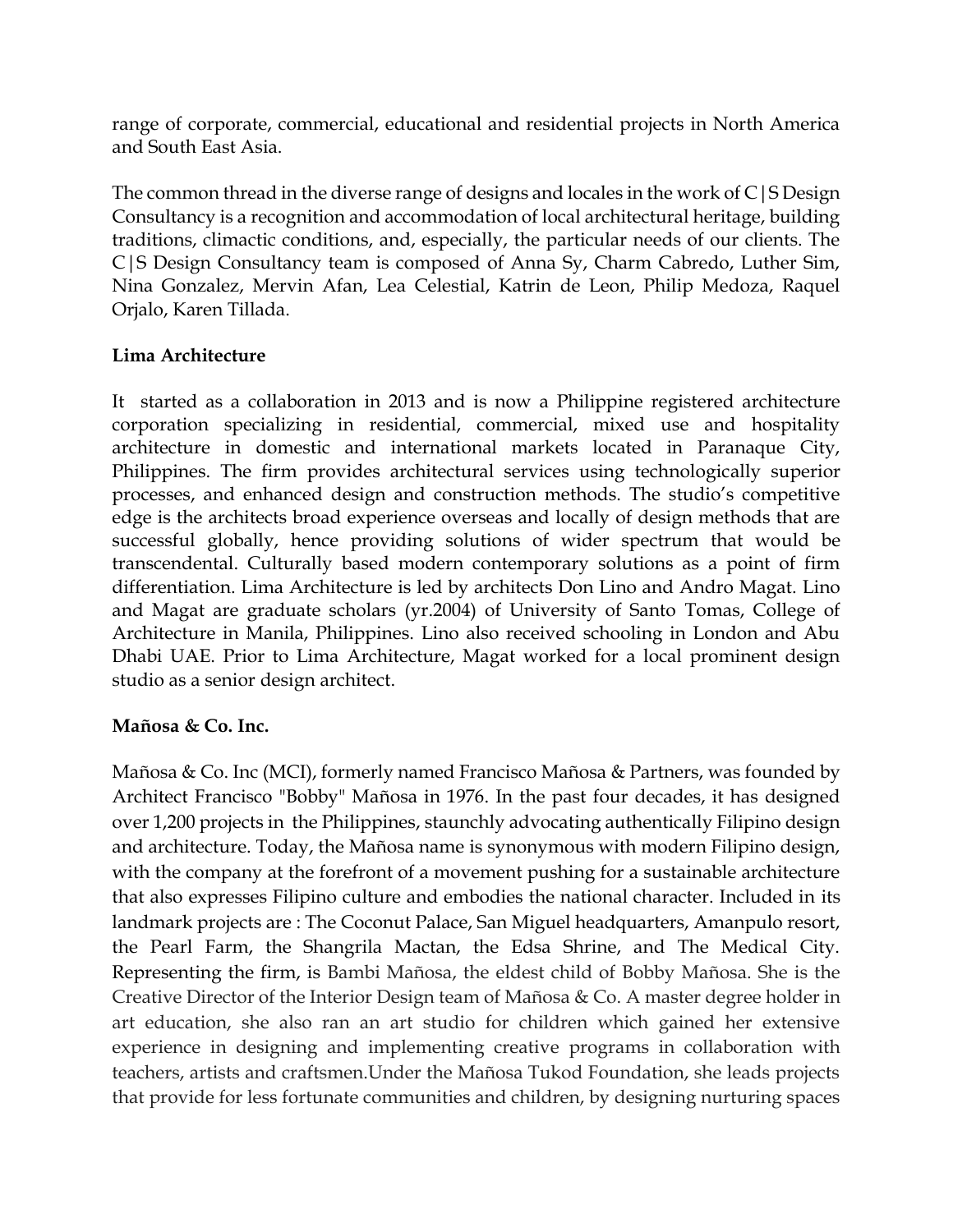range of corporate, commercial, educational and residential projects in North America and South East Asia.

The common thread in the diverse range of designs and locales in the work of  $C(S)$  Design Consultancy is a recognition and accommodation of local architectural heritage, building traditions, climactic conditions, and, especially, the particular needs of our clients. The C|S Design Consultancy team is composed of Anna Sy, Charm Cabredo, Luther Sim, Nina Gonzalez, Mervin Afan, Lea Celestial, Katrin de Leon, Philip Medoza, Raquel Orjalo, Karen Tillada.

## **Lima Architecture**

It started as a collaboration in 2013 and is now a Philippine registered architecture corporation specializing in residential, commercial, mixed use and hospitality architecture in domestic and international markets located in Paranaque City, Philippines. The firm provides architectural services using technologically superior processes, and enhanced design and construction methods. The studio's competitive edge is the architects broad experience overseas and locally of design methods that are successful globally, hence providing solutions of wider spectrum that would be transcendental. Culturally based modern contemporary solutions as a point of firm differentiation. Lima Architecture is led by architects Don Lino and Andro Magat. Lino and Magat are graduate scholars (yr.2004) of University of Santo Tomas, College of Architecture in Manila, Philippines. Lino also received schooling in London and Abu Dhabi UAE. Prior to Lima Architecture, Magat worked for a local prominent design studio as a senior design architect.

## **Mañosa & Co. Inc.**

Mañosa & Co. Inc (MCI), formerly named Francisco Mañosa & Partners, was founded by Architect Francisco "Bobby" Mañosa in 1976. In the past four decades, it has designed over 1,200 projects in the Philippines, staunchly advocating authentically Filipino design and architecture. Today, the Mañosa name is synonymous with modern Filipino design, with the company at the forefront of a movement pushing for a sustainable architecture that also expresses Filipino culture and embodies the national character. Included in its landmark projects are : The Coconut Palace, San Miguel headquarters, Amanpulo resort, the Pearl Farm, the Shangrila Mactan, the Edsa Shrine, and The Medical City. Representing the firm, is Bambi Mañosa, the eldest child of Bobby Mañosa. She is the Creative Director of the Interior Design team of Mañosa & Co. A master degree holder in art education, she also ran an art studio for children which gained her extensive experience in designing and implementing creative programs in collaboration with teachers, artists and craftsmen.Under the Mañosa Tukod Foundation, she leads projects that provide for less fortunate communities and children, by designing nurturing spaces